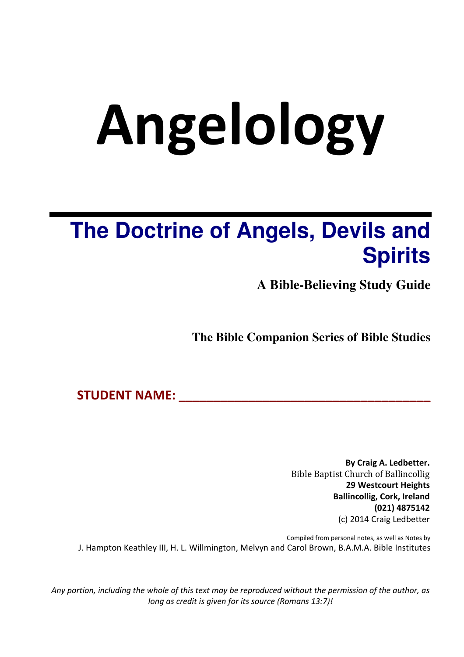# **Angelology**

## **The Doctrine of Angels, Devils and Spirits**

**A Bible-Believing Study Guide** 

**The Bible Companion Series of Bible Studies** 

**STUDENT NAME: \_\_\_\_\_\_\_\_\_\_\_\_\_\_\_\_\_\_\_\_\_\_\_\_\_\_\_\_\_\_\_\_\_\_\_\_** 

**By Craig A. Ledbetter.**  Bible Baptist Church of Ballincollig **29 Westcourt Heights Ballincollig, Cork, Ireland (021) 4875142**  (c) 2014 Craig Ledbetter

Compiled from personal notes, as well as Notes by J. Hampton Keathley III, H. L. Willmington, Melvyn and Carol Brown, B.A.M.A. Bible Institutes

*Any portion, including the whole of this text may be reproduced without the permission of the author, as long as credit is given for its source (Romans 13:7)!*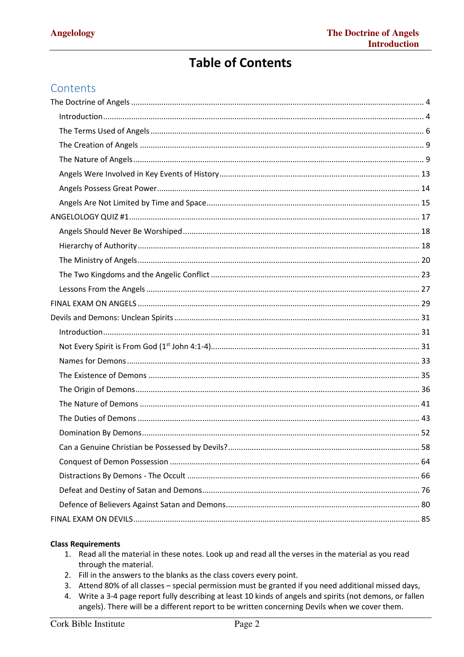#### **Table of Contents**

#### Contents

#### **Class Requirements**

- 1. Read all the material in these notes. Look up and read all the verses in the material as you read through the material.
- 2. Fill in the answers to the blanks as the class covers every point.
- 3. Attend 80% of all classes special permission must be granted if you need additional missed days,
- 4. Write a 3-4 page report fully describing at least 10 kinds of angels and spirits (not demons, or fallen angels). There will be a different report to be written concerning Devils when we cover them.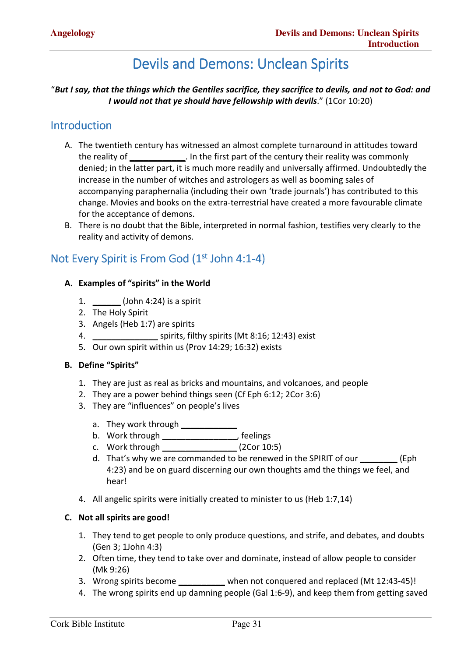### Devils and Demons: Unclean Spirits

#### "*But I say, that the things which the Gentiles sacrifice, they sacrifice to devils, and not to God: and I would not that ye should have fellowship with devils*." (1Cor 10:20)

#### Introduction

- A. The twentieth century has witnessed an almost complete turnaround in attitudes toward the reality of **\_\_\_\_\_\_\_\_\_\_\_\_**. In the first part of the century their reality was commonly denied; in the latter part, it is much more readily and universally affirmed. Undoubtedly the increase in the number of witches and astrologers as well as booming sales of accompanying paraphernalia (including their own 'trade journals') has contributed to this change. Movies and books on the extra-terrestrial have created a more favourable climate for the acceptance of demons.
- B. There is no doubt that the Bible, interpreted in normal fashion, testifies very clearly to the reality and activity of demons.

#### Not Every Spirit is From God (1<sup>st</sup> John 4:1-4)

#### **A. Examples of "spirits" in the World**

- 1. **\_\_\_\_\_\_** (John 4:24) is a spirit
- 2. The Holy Spirit
- 3. Angels (Heb 1:7) are spirits
- 4. **\_\_\_\_\_\_\_\_\_\_\_\_\_\_** spirits, filthy spirits (Mt 8:16; 12:43) exist
- 5. Our own spirit within us (Prov 14:29; 16:32) exists

#### **B. Define "Spirits"**

- 1. They are just as real as bricks and mountains, and volcanoes, and people
- 2. They are a power behind things seen (Cf Eph 6:12; 2Cor 3:6)
- 3. They are "influences" on people's lives
	- a. They work through **\_\_\_\_\_\_\_\_\_\_\_\_**
	- b. Work through **\_\_\_\_\_\_\_\_\_\_\_\_\_\_\_\_**, feelings
	- c. Work through **\_\_\_\_\_\_\_\_\_\_\_\_\_\_\_\_** (2Cor 10:5)
	- d. That's why we are commanded to be renewed in the SPIRIT of our **\_\_\_\_\_\_\_\_** (Eph 4:23) and be on guard discerning our own thoughts amd the things we feel, and hear!
- 4. All angelic spirits were initially created to minister to us (Heb 1:7,14)

#### **C. Not all spirits are good!**

- 1. They tend to get people to only produce questions, and strife, and debates, and doubts (Gen 3; 1John 4:3)
- 2. Often time, they tend to take over and dominate, instead of allow people to consider (Mk 9:26)
- 3. Wrong spirits become **\_\_\_\_\_\_\_\_\_\_** when not conquered and replaced (Mt 12:43-45)!
- 4. The wrong spirits end up damning people (Gal 1:6-9), and keep them from getting saved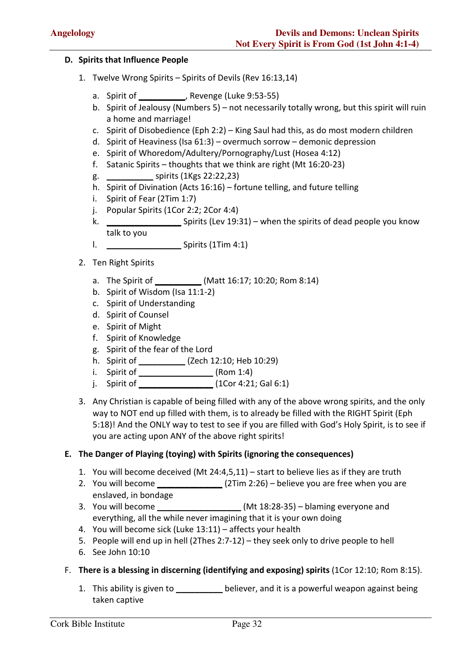#### **D. Spirits that Influence People**

- 1. Twelve Wrong Spirits Spirits of Devils (Rev 16:13,14)
	- a. Spirit of **\_\_\_\_\_\_\_\_\_\_**, Revenge (Luke 9:53-55)
	- b. Spirit of Jealousy (Numbers 5) not necessarily totally wrong, but this spirit will ruin a home and marriage!
	- c. Spirit of Disobedience (Eph 2:2) King Saul had this, as do most modern children
	- d. Spirit of Heaviness (Isa 61:3) overmuch sorrow demonic depression
	- e. Spirit of Whoredom/Adultery/Pornography/Lust (Hosea 4:12)
	- f. Satanic Spirits thoughts that we think are right (Mt 16:20-23)
	- g. **\_\_\_\_\_\_\_\_\_\_** spirits (1Kgs 22:22,23)
	- h. Spirit of Divination (Acts 16:16) fortune telling, and future telling
	- i. Spirit of Fear (2Tim 1:7)
	- j. Popular Spirits (1Cor 2:2; 2Cor 4:4)
	- k. **\_\_\_\_\_\_\_\_\_\_\_\_\_\_\_\_** Spirits (Lev 19:31) when the spirits of dead people you know talk to you
	- l. **\_\_\_\_\_\_\_\_\_\_\_\_\_\_\_\_** Spirits (1Tim 4:1)
- 2. Ten Right Spirits
	- a. The Spirit of **\_\_\_\_\_\_\_\_\_\_** (Matt 16:17; 10:20; Rom 8:14)
	- b. Spirit of Wisdom (Isa 11:1-2)
	- c. Spirit of Understanding
	- d. Spirit of Counsel
	- e. Spirit of Might
	- f. Spirit of Knowledge
	- g. Spirit of the fear of the Lord
	- h. Spirit of **\_\_\_\_\_\_\_\_\_\_** (Zech 12:10; Heb 10:29)
	- i. Spirit of **\_\_\_\_\_\_\_\_\_\_\_\_\_\_\_\_** (Rom 1:4)
	- j. Spirit of **\_\_\_\_\_\_\_\_\_\_\_\_\_\_\_\_** (1Cor 4:21; Gal 6:1)
- 3. Any Christian is capable of being filled with any of the above wrong spirits, and the only way to NOT end up filled with them, is to already be filled with the RIGHT Spirit (Eph 5:18)! And the ONLY way to test to see if you are filled with God's Holy Spirit, is to see if you are acting upon ANY of the above right spirits!

#### **E. The Danger of Playing (toying) with Spirits (ignoring the consequences)**

- 1. You will become deceived (Mt 24:4,5,11) start to believe lies as if they are truth
- 2. You will become **\_\_\_\_\_\_\_\_\_\_\_\_\_\_** (2Tim 2:26) believe you are free when you are enslaved, in bondage
- 3. You will become **\_\_\_\_\_\_\_\_\_\_\_\_\_\_\_\_\_\_** (Mt 18:28-35) blaming everyone and everything, all the while never imagining that it is your own doing
- 4. You will become sick (Luke 13:11) affects your health
- 5. People will end up in hell (2Thes 2:7-12) they seek only to drive people to hell
- 6. See John 10:10
- F. **There is a blessing in discerning (identifying and exposing) spirits** (1Cor 12:10; Rom 8:15).
	- 1. This ability is given to **\_\_\_\_\_\_\_\_\_\_** believer, and it is a powerful weapon against being taken captive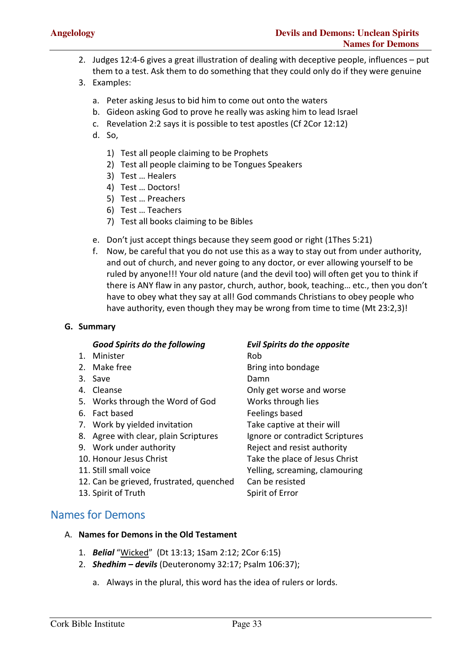- 2. Judges 12:4-6 gives a great illustration of dealing with deceptive people, influences put them to a test. Ask them to do something that they could only do if they were genuine
- 3. Examples:
	- a. Peter asking Jesus to bid him to come out onto the waters
	- b. Gideon asking God to prove he really was asking him to lead Israel
	- c. Revelation 2:2 says it is possible to test apostles (Cf 2Cor 12:12)
	- d. So,
		- 1) Test all people claiming to be Prophets
		- 2) Test all people claiming to be Tongues Speakers
		- 3) Test … Healers
		- 4) Test … Doctors!
		- 5) Test … Preachers
		- 6) Test … Teachers
		- 7) Test all books claiming to be Bibles
	- e. Don't just accept things because they seem good or right (1Thes 5:21)
	- f. Now, be careful that you do not use this as a way to stay out from under authority, and out of church, and never going to any doctor, or ever allowing yourself to be ruled by anyone!!! Your old nature (and the devil too) will often get you to think if there is ANY flaw in any pastor, church, author, book, teaching… etc., then you don't have to obey what they say at all! God commands Christians to obey people who have authority, even though they may be wrong from time to time (Mt 23:2,3)!

#### **G. Summary**

#### *Good Spirits do the following Evil Spirits do the opposite*

- 1. Minister Rob
- 
- 3. Save Damn
- 
- 5. Works through the Word of God Works through lies
- 
- 7. Work by yielded invitation Take captive at their will
- 8. Agree with clear, plain Scriptures lgnore or contradict Scriptures
- 
- 
- 
- 12. Can be grieved, frustrated, quenched Can be resisted
- 13. Spirit of Truth Spirit of Error

2. Make free **Bring into bondage** 4. Cleanse Only get worse and worse 6. Fact based **Feelings** based 9. Work under authority **Reject and resist authority** 10. Honour Jesus Christ Take the place of Jesus Christ 11. Still small voice **The Communist State State State State** Yelling, screaming, clamouring

#### Names for Demons

- A. **Names for Demons in the Old Testament**
	- 1. *Belial* "Wicked" (Dt 13:13; 1Sam 2:12; 2Cor 6:15)
	- 2. *Shedhim devils* (Deuteronomy 32:17; Psalm 106:37);
		- a. Always in the plural, this word has the idea of rulers or lords.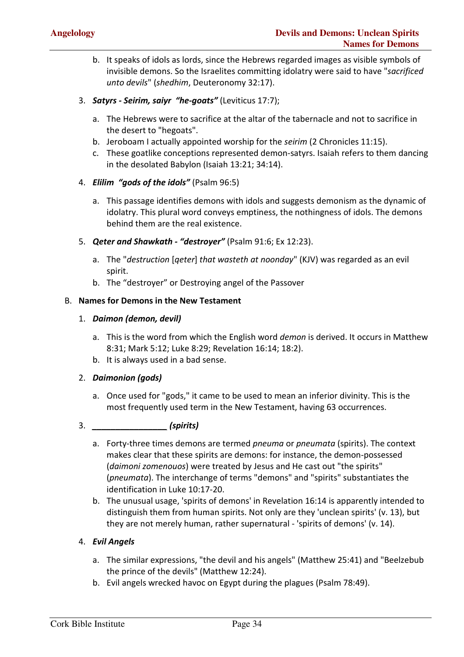- b. It speaks of idols as lords, since the Hebrews regarded images as visible symbols of invisible demons. So the Israelites committing idolatry were said to have "*sacrificed unto devils*" (*shedhim*, Deuteronomy 32:17).
- 3. *Satyrs Seirim, saiyr "he-goats"* (Leviticus 17:7);
	- a. The Hebrews were to sacrifice at the altar of the tabernacle and not to sacrifice in the desert to "hegoats".
	- b. Jeroboam I actually appointed worship for the *seirim* (2 Chronicles 11:15).
	- c. These goatlike conceptions represented demon-satyrs. Isaiah refers to them dancing in the desolated Babylon (Isaiah 13:21; 34:14).
- 4. *Elilim "gods of the idols"* (Psalm 96:5)
	- a. This passage identifies demons with idols and suggests demonism as the dynamic of idolatry. This plural word conveys emptiness, the nothingness of idols. The demons behind them are the real existence.
- 5. *Qeter and Shawkath "destroyer"* (Psalm 91:6; Ex 12:23).
	- a. The "*destruction* [*qeter*] *that wasteth at noonday*" (KJV) was regarded as an evil spirit.
	- b. The "destroyer" or Destroying angel of the Passover

#### B. **Names for Demons in the New Testament**

#### 1. *Daimon (demon, devil)*

- a. This is the word from which the English word *demon* is derived. It occurs in Matthew 8:31; Mark 5:12; Luke 8:29; Revelation 16:14; 18:2).
- b. It is always used in a bad sense.

#### 2. *Daimonion (gods)*

- a. Once used for "gods," it came to be used to mean an inferior divinity. This is the most frequently used term in the New Testament, having 63 occurrences.
- 3. *\_\_\_\_\_\_\_\_\_\_\_\_\_\_\_\_ (spirits)*
	- a. Forty-three times demons are termed *pneuma* or *pneumata* (spirits). The context makes clear that these spirits are demons: for instance, the demon-possessed (*daimoni zomenouos*) were treated by Jesus and He cast out "the spirits" (*pneumata*). The interchange of terms "demons" and "spirits" substantiates the identification in Luke 10:17-20.
	- b. The unusual usage, 'spirits of demons' in Revelation 16:14 is apparently intended to distinguish them from human spirits. Not only are they 'unclean spirits' (v. 13), but they are not merely human, rather supernatural - 'spirits of demons' (v. 14).

#### 4. *Evil Angels*

- a. The similar expressions, "the devil and his angels" (Matthew 25:41) and "Beelzebub the prince of the devils" (Matthew 12:24).
- b. Evil angels wrecked havoc on Egypt during the plagues (Psalm 78:49).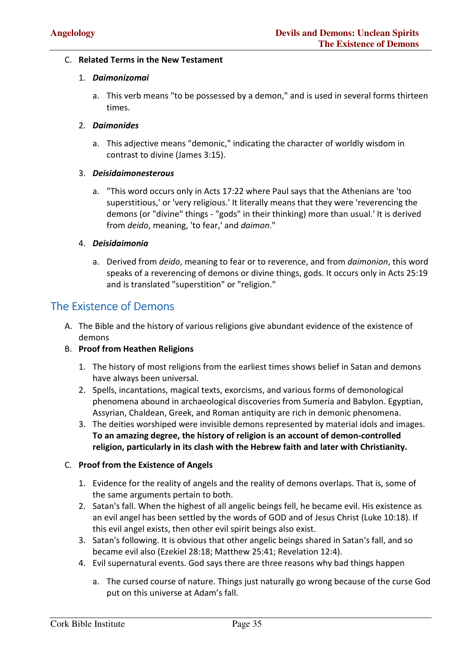#### C. **Related Terms in the New Testament**

#### 1. *Daimonizomai*

a. This verb means "to be possessed by a demon," and is used in several forms thirteen times.

#### 2. *Daimonides*

a. This adjective means "demonic," indicating the character of worldly wisdom in contrast to divine (James 3:15).

#### 3. *Deisidaimonesterous*

a. "This word occurs only in Acts 17:22 where Paul says that the Athenians are 'too superstitious,' or 'very religious.' It literally means that they were 'reverencing the demons (or "divine" things - "gods" in their thinking) more than usual.' It is derived from *deido*, meaning, 'to fear,' and *daimon*."

#### 4. *Deisidaimonia*

a. Derived from *deido*, meaning to fear or to reverence, and from *daimonion*, this word speaks of a reverencing of demons or divine things, gods. It occurs only in Acts 25:19 and is translated "superstition" or "religion."

#### The Existence of Demons

A. The Bible and the history of various religions give abundant evidence of the existence of demons

#### B. **Proof from Heathen Religions**

- 1. The history of most religions from the earliest times shows belief in Satan and demons have always been universal.
- 2. Spells, incantations, magical texts, exorcisms, and various forms of demonological phenomena abound in archaeological discoveries from Sumeria and Babylon. Egyptian, Assyrian, Chaldean, Greek, and Roman antiquity are rich in demonic phenomena.
- 3. The deities worshiped were invisible demons represented by material idols and images. **To an amazing degree, the history of religion is an account of demon-controlled religion, particularly in its clash with the Hebrew faith and later with Christianity.**

#### C. **Proof from the Existence of Angels**

- 1. Evidence for the reality of angels and the reality of demons overlaps. That is, some of the same arguments pertain to both.
- 2. Satan's fall. When the highest of all angelic beings fell, he became evil. His existence as an evil angel has been settled by the words of GOD and of Jesus Christ (Luke 10:18). If this evil angel exists, then other evil spirit beings also exist.
- 3. Satan's following. It is obvious that other angelic beings shared in Satan's fall, and so became evil also (Ezekiel 28:18; Matthew 25:41; Revelation 12:4).
- 4. Evil supernatural events. God says there are three reasons why bad things happen
	- a. The cursed course of nature. Things just naturally go wrong because of the curse God put on this universe at Adam's fall.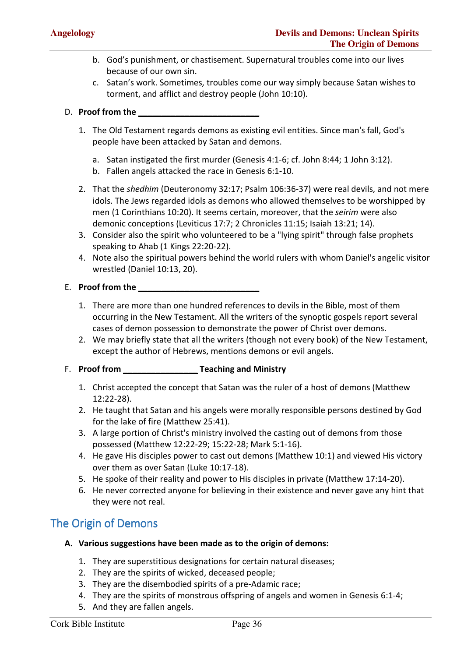- b. God's punishment, or chastisement. Supernatural troubles come into our lives because of our own sin.
- c. Satan's work. Sometimes, troubles come our way simply because Satan wishes to torment, and afflict and destroy people (John 10:10).

#### D. **Proof from the \_\_\_\_\_\_\_\_\_\_\_\_\_\_\_\_\_\_\_\_\_\_\_\_\_\_**

- 1. The Old Testament regards demons as existing evil entities. Since man's fall, God's people have been attacked by Satan and demons.
	- a. Satan instigated the first murder (Genesis 4:1-6; cf. John 8:44; 1 John 3:12).
	- b. Fallen angels attacked the race in Genesis 6:1-10.
- 2. That the *shedhim* (Deuteronomy 32:17; Psalm 106:36-37) were real devils, and not mere idols. The Jews regarded idols as demons who allowed themselves to be worshipped by men (1 Corinthians 10:20). It seems certain, moreover, that the *seirim* were also demonic conceptions (Leviticus 17:7; 2 Chronicles 11:15; Isaiah 13:21; 14).
- 3. Consider also the spirit who volunteered to be a "lying spirit" through false prophets speaking to Ahab (1 Kings 22:20-22).
- 4. Note also the spiritual powers behind the world rulers with whom Daniel's angelic visitor wrestled (Daniel 10:13, 20).

#### **E.** Proof from the

- 1. There are more than one hundred references to devils in the Bible, most of them occurring in the New Testament. All the writers of the synoptic gospels report several cases of demon possession to demonstrate the power of Christ over demons.
- 2. We may briefly state that all the writers (though not every book) of the New Testament, except the author of Hebrews, mentions demons or evil angels.

#### F. **Proof from \_\_\_\_\_\_\_\_\_\_\_\_\_\_\_\_ Teaching and Ministry**

- 1. Christ accepted the concept that Satan was the ruler of a host of demons (Matthew 12:22-28).
- 2. He taught that Satan and his angels were morally responsible persons destined by God for the lake of fire (Matthew 25:41).
- 3. A large portion of Christ's ministry involved the casting out of demons from those possessed (Matthew 12:22-29; 15:22-28; Mark 5:1-16).
- 4. He gave His disciples power to cast out demons (Matthew 10:1) and viewed His victory over them as over Satan (Luke 10:17-18).
- 5. He spoke of their reality and power to His disciples in private (Matthew 17:14-20).
- 6. He never corrected anyone for believing in their existence and never gave any hint that they were not real.

#### The Origin of Demons

- **A. Various suggestions have been made as to the origin of demons:** 
	- 1. They are superstitious designations for certain natural diseases;
	- 2. They are the spirits of wicked, deceased people;
	- 3. They are the disembodied spirits of a pre-Adamic race;
	- 4. They are the spirits of monstrous offspring of angels and women in Genesis 6:1-4;
	- 5. And they are fallen angels.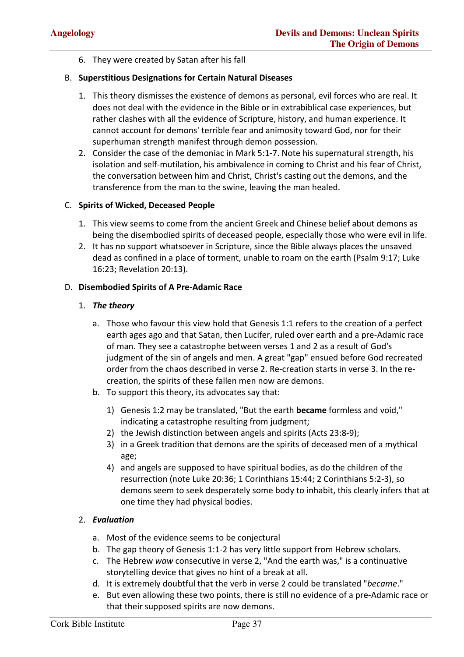6. They were created by Satan after his fall

#### B. **Superstitious Designations for Certain Natural Diseases**

- 1. This theory dismisses the existence of demons as personal, evil forces who are real. It does not deal with the evidence in the Bible or in extrabiblical case experiences, but rather clashes with all the evidence of Scripture, history, and human experience. It cannot account for demons' terrible fear and animosity toward God, nor for their superhuman strength manifest through demon possession.
- 2. Consider the case of the demoniac in Mark 5:1-7. Note his supernatural strength, his isolation and self-mutilation, his ambivalence in coming to Christ and his fear of Christ, the conversation between him and Christ, Christ's casting out the demons, and the transference from the man to the swine, leaving the man healed.

#### C. **Spirits of Wicked, Deceased People**

- 1. This view seems to come from the ancient Greek and Chinese belief about demons as being the disembodied spirits of deceased people, especially those who were evil in life.
- 2. It has no support whatsoever in Scripture, since the Bible always places the unsaved dead as confined in a place of torment, unable to roam on the earth (Psalm 9:17; Luke 16:23; Revelation 20:13).

#### D. **Disembodied Spirits of A Pre-Adamic Race**

#### 1. *The theory*

- a. Those who favour this view hold that Genesis 1:1 refers to the creation of a perfect earth ages ago and that Satan, then Lucifer, ruled over earth and a pre-Adamic race of man. They see a catastrophe between verses 1 and 2 as a result of God's judgment of the sin of angels and men. A great "gap" ensued before God recreated order from the chaos described in verse 2. Re-creation starts in verse 3. In the recreation, the spirits of these fallen men now are demons.
- b. To support this theory, its advocates say that:
	- 1) Genesis 1:2 may be translated, "But the earth **became** formless and void," indicating a catastrophe resulting from judgment;
	- 2) the Jewish distinction between angels and spirits (Acts 23:8-9);
	- 3) in a Greek tradition that demons are the spirits of deceased men of a mythical age;
	- 4) and angels are supposed to have spiritual bodies, as do the children of the resurrection (note Luke 20:36; 1 Corinthians 15:44; 2 Corinthians 5:2-3), so demons seem to seek desperately some body to inhabit, this clearly infers that at one time they had physical bodies.

#### 2. *Evaluation*

- a. Most of the evidence seems to be conjectural
- b. The gap theory of Genesis 1:1-2 has very little support from Hebrew scholars.
- c. The Hebrew *waw* consecutive in verse 2, "And the earth was," is a continuative storytelling device that gives no hint of a break at all.
- d. It is extremely doubtful that the verb in verse 2 could be translated "*became*."
- e. But even allowing these two points, there is still no evidence of a pre-Adamic race or that their supposed spirits are now demons.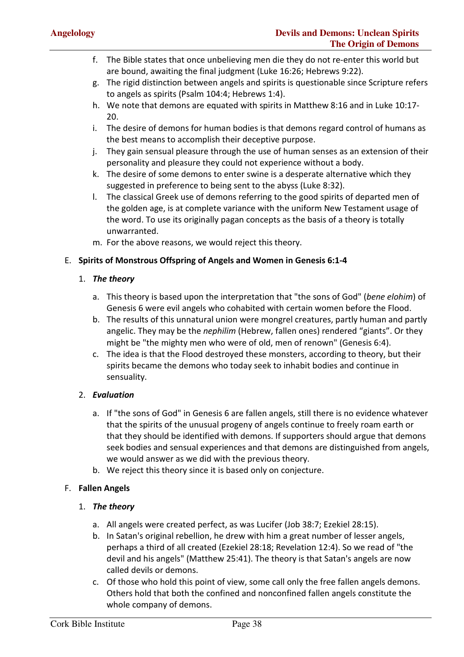- f. The Bible states that once unbelieving men die they do not re-enter this world but are bound, awaiting the final judgment (Luke 16:26; Hebrews 9:22).
- g. The rigid distinction between angels and spirits is questionable since Scripture refers to angels as spirits (Psalm 104:4; Hebrews 1:4).
- h. We note that demons are equated with spirits in Matthew 8:16 and in Luke 10:17- 20.
- i. The desire of demons for human bodies is that demons regard control of humans as the best means to accomplish their deceptive purpose.
- j. They gain sensual pleasure through the use of human senses as an extension of their personality and pleasure they could not experience without a body.
- k. The desire of some demons to enter swine is a desperate alternative which they suggested in preference to being sent to the abyss (Luke 8:32).
- l. The classical Greek use of demons referring to the good spirits of departed men of the golden age, is at complete variance with the uniform New Testament usage of the word. To use its originally pagan concepts as the basis of a theory is totally unwarranted.
- m. For the above reasons, we would reject this theory.

#### E. **Spirits of Monstrous Offspring of Angels and Women in Genesis 6:1-4**

#### 1. *The theory*

- a. This theory is based upon the interpretation that "the sons of God" (*bene elohim*) of Genesis 6 were evil angels who cohabited with certain women before the Flood.
- b. The results of this unnatural union were mongrel creatures, partly human and partly angelic. They may be the *nephilim* (Hebrew, fallen ones) rendered "giants". Or they might be "the mighty men who were of old, men of renown" (Genesis 6:4).
- c. The idea is that the Flood destroyed these monsters, according to theory, but their spirits became the demons who today seek to inhabit bodies and continue in sensuality.

#### 2. *Evaluation*

- a. If "the sons of God" in Genesis 6 are fallen angels, still there is no evidence whatever that the spirits of the unusual progeny of angels continue to freely roam earth or that they should be identified with demons. If supporters should argue that demons seek bodies and sensual experiences and that demons are distinguished from angels, we would answer as we did with the previous theory.
- b. We reject this theory since it is based only on conjecture.

#### F. **Fallen Angels**

#### 1. *The theory*

- a. All angels were created perfect, as was Lucifer (Job 38:7; Ezekiel 28:15).
- b. In Satan's original rebellion, he drew with him a great number of lesser angels, perhaps a third of all created (Ezekiel 28:18; Revelation 12:4). So we read of "the devil and his angels" (Matthew 25:41). The theory is that Satan's angels are now called devils or demons.
- c. Of those who hold this point of view, some call only the free fallen angels demons. Others hold that both the confined and nonconfined fallen angels constitute the whole company of demons.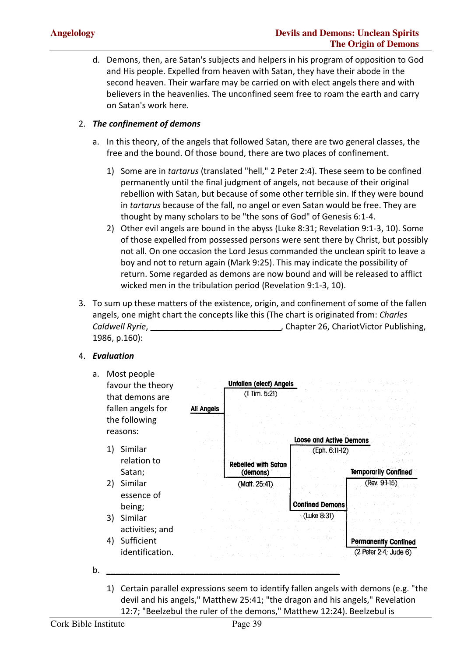d. Demons, then, are Satan's subjects and helpers in his program of opposition to God and His people. Expelled from heaven with Satan, they have their abode in the second heaven. Their warfare may be carried on with elect angels there and with believers in the heavenlies. The unconfined seem free to roam the earth and carry on Satan's work here.

#### 2. *The confinement of demons*

- a. In this theory, of the angels that followed Satan, there are two general classes, the free and the bound. Of those bound, there are two places of confinement.
	- 1) Some are in *tartarus* (translated "hell," 2 Peter 2:4). These seem to be confined permanently until the final judgment of angels, not because of their original rebellion with Satan, but because of some other terrible sin. If they were bound in *tartarus* because of the fall, no angel or even Satan would be free. They are thought by many scholars to be "the sons of God" of Genesis 6:1-4.
	- 2) Other evil angels are bound in the abyss (Luke 8:31; Revelation 9:1-3, 10). Some of those expelled from possessed persons were sent there by Christ, but possibly not all. On one occasion the Lord Jesus commanded the unclean spirit to leave a boy and not to return again (Mark 9:25). This may indicate the possibility of return. Some regarded as demons are now bound and will be released to afflict wicked men in the tribulation period (Revelation 9:1-3, 10).
- 3. To sum up these matters of the existence, origin, and confinement of some of the fallen angels, one might chart the concepts like this (The chart is originated from: *Charles Caldwell Ryrie*, **\_\_\_\_\_\_\_\_\_\_\_\_\_\_\_\_\_\_\_\_\_\_\_\_\_\_\_\_**, Chapter 26, ChariotVictor Publishing, 1986, p.160):

#### 4. *Evaluation*



1) Certain parallel expressions seem to identify fallen angels with demons (e.g. "the devil and his angels," Matthew 25:41; "the dragon and his angels," Revelation 12:7; "Beelzebul the ruler of the demons," Matthew 12:24). Beelzebul is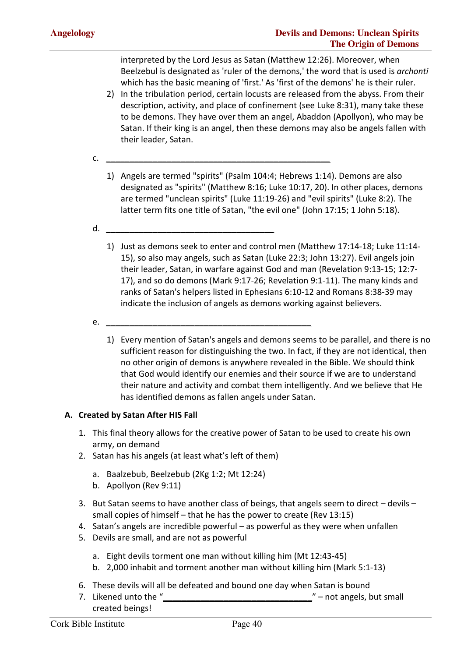interpreted by the Lord Jesus as Satan (Matthew 12:26). Moreover, when Beelzebul is designated as 'ruler of the demons,' the word that is used is *archonti* which has the basic meaning of 'first.' As 'first of the demons' he is their ruler.

- 2) In the tribulation period, certain locusts are released from the abyss. From their description, activity, and place of confinement (see Luke 8:31), many take these to be demons. They have over them an angel, Abaddon (Apollyon), who may be Satan. If their king is an angel, then these demons may also be angels fallen with their leader, Satan.
- c. *\_\_\_\_\_\_\_\_\_\_\_\_\_\_\_\_\_\_\_\_\_\_\_\_\_\_\_\_\_\_\_\_\_\_\_\_\_\_\_\_\_\_\_\_\_\_\_\_*
	- 1) Angels are termed "spirits" (Psalm 104:4; Hebrews 1:14). Demons are also designated as "spirits" (Matthew 8:16; Luke 10:17, 20). In other places, demons are termed "unclean spirits" (Luke 11:19-26) and "evil spirits" (Luke 8:2). The latter term fits one title of Satan, "the evil one" (John 17:15; 1 John 5:18).
- d. *\_\_\_\_\_\_\_\_\_\_\_\_\_\_\_\_\_\_\_\_\_\_\_\_\_\_\_\_\_\_\_\_\_\_\_\_*
	- 1) Just as demons seek to enter and control men (Matthew 17:14-18; Luke 11:14- 15), so also may angels, such as Satan (Luke 22:3; John 13:27). Evil angels join their leader, Satan, in warfare against God and man (Revelation 9:13-15; 12:7- 17), and so do demons (Mark 9:17-26; Revelation 9:1-11). The many kinds and ranks of Satan's helpers listed in Ephesians 6:10-12 and Romans 8:38-39 may indicate the inclusion of angels as demons working against believers.
- e. *\_\_\_\_\_\_\_\_\_\_\_\_\_\_\_\_\_\_\_\_\_\_\_\_\_\_\_\_\_\_\_\_\_\_\_\_\_\_\_\_\_\_\_\_*
	- 1) Every mention of Satan's angels and demons seems to be parallel, and there is no sufficient reason for distinguishing the two. In fact, if they are not identical, then no other origin of demons is anywhere revealed in the Bible. We should think that God would identify our enemies and their source if we are to understand their nature and activity and combat them intelligently. And we believe that He has identified demons as fallen angels under Satan.

#### **A. Created by Satan After HIS Fall**

- 1. This final theory allows for the creative power of Satan to be used to create his own army, on demand
- 2. Satan has his angels (at least what's left of them)
	- a. Baalzebub, Beelzebub (2Kg 1:2; Mt 12:24)
	- b. Apollyon (Rev 9:11)
- 3. But Satan seems to have another class of beings, that angels seem to direct devils small copies of himself – that he has the power to create (Rev 13:15)
- 4. Satan's angels are incredible powerful as powerful as they were when unfallen
- 5. Devils are small, and are not as powerful
	- a. Eight devils torment one man without killing him (Mt 12:43-45)
	- b. 2,000 inhabit and torment another man without killing him (Mark 5:1-13)
- 6. These devils will all be defeated and bound one day when Satan is bound
- 7. Likened unto the "<br>
The interval of the "
interval of the "
interval of the "
interval of the "
interval of the "
interval of the "
interval of the "
interval of the "
interval of the "
interval of the "
interval of the created beings!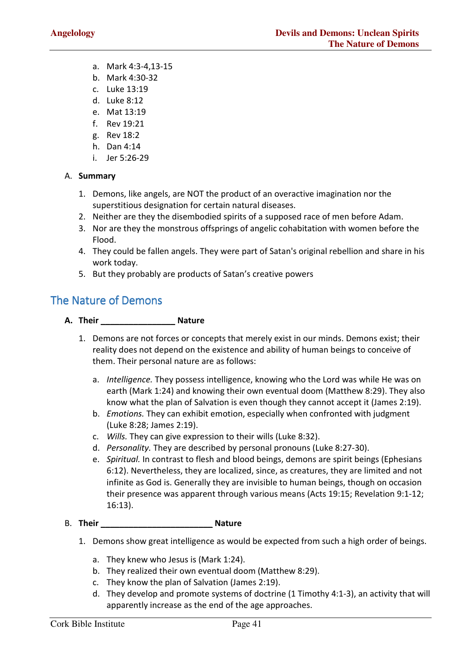- a. Mark 4:3-4,13-15
- b. Mark 4:30-32
- c. Luke 13:19
- d. Luke 8:12
- e. Mat 13:19
- f. Rev 19:21
- g. Rev 18:2
- h. Dan 4:14
- i. Jer 5:26-29

#### A. **Summary**

- 1. Demons, like angels, are NOT the product of an overactive imagination nor the superstitious designation for certain natural diseases.
- 2. Neither are they the disembodied spirits of a supposed race of men before Adam.
- 3. Nor are they the monstrous offsprings of angelic cohabitation with women before the Flood.
- 4. They could be fallen angels. They were part of Satan's original rebellion and share in his work today.
- 5. But they probably are products of Satan's creative powers

#### The Nature of Demons

- **A. Their \_\_\_\_\_\_\_\_\_\_\_\_\_\_\_\_ Nature** 
	- 1. Demons are not forces or concepts that merely exist in our minds. Demons exist; their reality does not depend on the existence and ability of human beings to conceive of them. Their personal nature are as follows:
		- a. *Intelligence.* They possess intelligence, knowing who the Lord was while He was on earth (Mark 1:24) and knowing their own eventual doom (Matthew 8:29). They also know what the plan of Salvation is even though they cannot accept it (James 2:19).
		- b. *Emotions.* They can exhibit emotion, especially when confronted with judgment (Luke 8:28; James 2:19).
		- c. *Wills.* They can give expression to their wills (Luke 8:32).
		- d. *Personality.* They are described by personal pronouns (Luke 8:27-30).
		- e. *Spiritual.* In contrast to flesh and blood beings, demons are spirit beings (Ephesians 6:12). Nevertheless, they are localized, since, as creatures, they are limited and not infinite as God is. Generally they are invisible to human beings, though on occasion their presence was apparent through various means (Acts 19:15; Revelation 9:1-12; 16:13).

#### B. **Their \_\_\_\_\_\_\_\_\_\_\_\_\_\_\_\_\_\_\_\_\_\_\_\_ Nature**

- 1. Demons show great intelligence as would be expected from such a high order of beings.
	- a. They knew who Jesus is (Mark 1:24).
	- b. They realized their own eventual doom (Matthew 8:29).
	- c. They know the plan of Salvation (James 2:19).
	- d. They develop and promote systems of doctrine (1 Timothy 4:1-3), an activity that will apparently increase as the end of the age approaches.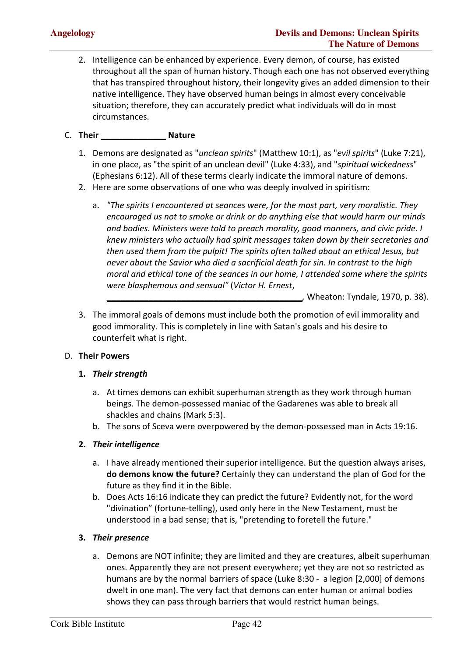2. Intelligence can be enhanced by experience. Every demon, of course, has existed throughout all the span of human history. Though each one has not observed everything that has transpired throughout history, their longevity gives an added dimension to their native intelligence. They have observed human beings in almost every conceivable situation; therefore, they can accurately predict what individuals will do in most circumstances.

#### C. **Their \_\_\_\_\_\_\_\_\_\_\_\_\_\_ Nature**

- 1. Demons are designated as "*unclean spirits*" (Matthew 10:1), as "*evil spirits*" (Luke 7:21), in one place, as "the spirit of an unclean devil" (Luke 4:33), and "*spiritual wickedness*" (Ephesians 6:12). All of these terms clearly indicate the immoral nature of demons.
- 2. Here are some observations of one who was deeply involved in spiritism:
	- a. *"The spirits I encountered at seances were, for the most part, very moralistic. They encouraged us not to smoke or drink or do anything else that would harm our minds and bodies. Ministers were told to preach morality, good manners, and civic pride. I knew ministers who actually had spirit messages taken down by their secretaries and then used them from the pulpit! The spirits often talked about an ethical Jesus, but never about the Savior who died a sacrificial death for sin. In contrast to the high moral and ethical tone of the seances in our home, I attended some where the spirits were blasphemous and sensual"* (*Victor H. Ernest*,

**\_\_\_\_\_\_\_\_\_\_\_\_\_\_\_\_\_\_\_\_\_\_\_\_\_\_\_\_\_\_\_\_\_\_\_\_\_\_\_\_\_\_***,* Wheaton: Tyndale, 1970, p. 38).

3. The immoral goals of demons must include both the promotion of evil immorality and good immorality. This is completely in line with Satan's goals and his desire to counterfeit what is right.

#### D. **Their Powers**

#### **1.** *Their strength*

- a. At times demons can exhibit superhuman strength as they work through human beings. The demon-possessed maniac of the Gadarenes was able to break all shackles and chains (Mark 5:3).
- b. The sons of Sceva were overpowered by the demon-possessed man in Acts 19:16.

#### **2.** *Their intelligence*

- a. I have already mentioned their superior intelligence. But the question always arises, **do demons know the future?** Certainly they can understand the plan of God for the future as they find it in the Bible.
- b. Does Acts 16:16 indicate they can predict the future? Evidently not, for the word "divination" (fortune-telling), used only here in the New Testament, must be understood in a bad sense; that is, "pretending to foretell the future."

#### **3.** *Their presence*

a. Demons are NOT infinite; they are limited and they are creatures, albeit superhuman ones. Apparently they are not present everywhere; yet they are not so restricted as humans are by the normal barriers of space (Luke 8:30 - a legion [2,000] of demons dwelt in one man). The very fact that demons can enter human or animal bodies shows they can pass through barriers that would restrict human beings.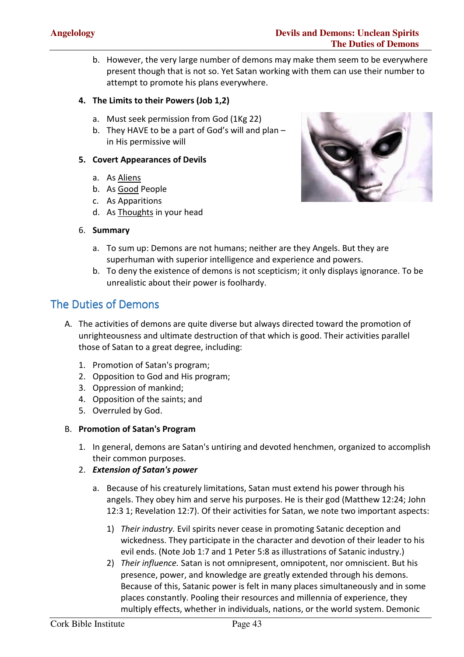b. However, the very large number of demons may make them seem to be everywhere present though that is not so. Yet Satan working with them can use their number to attempt to promote his plans everywhere.

#### **4. The Limits to their Powers (Job 1,2)**

- a. Must seek permission from God (1Kg 22)
- b. They HAVE to be a part of God's will and plan in His permissive will

#### **5. Covert Appearances of Devils**

- a. As Aliens
- b. As Good People
- c. As Apparitions
- d. As Thoughts in your head
- 6. **Summary**



- a. To sum up: Demons are not humans; neither are they Angels. But they are superhuman with superior intelligence and experience and powers.
- b. To deny the existence of demons is not scepticism; it only displays ignorance. To be unrealistic about their power is foolhardy.

#### The Duties of Demons

- A. The activities of demons are quite diverse but always directed toward the promotion of unrighteousness and ultimate destruction of that which is good. Their activities parallel those of Satan to a great degree, including:
	- 1. Promotion of Satan's program;
	- 2. Opposition to God and His program;
	- 3. Oppression of mankind;
	- 4. Opposition of the saints; and
	- 5. Overruled by God.

#### B. **Promotion of Satan's Program**

- 1. In general, demons are Satan's untiring and devoted henchmen, organized to accomplish their common purposes.
- 2. *Extension of Satan's power*
	- a. Because of his creaturely limitations, Satan must extend his power through his angels. They obey him and serve his purposes. He is their god (Matthew 12:24; John 12:3 1; Revelation 12:7). Of their activities for Satan, we note two important aspects:
		- 1) *Their industry.* Evil spirits never cease in promoting Satanic deception and wickedness. They participate in the character and devotion of their leader to his evil ends. (Note Job 1:7 and 1 Peter 5:8 as illustrations of Satanic industry.)
		- 2) *Their influence.* Satan is not omnipresent, omnipotent, nor omniscient. But his presence, power, and knowledge are greatly extended through his demons. Because of this, Satanic power is felt in many places simultaneously and in some places constantly. Pooling their resources and millennia of experience, they multiply effects, whether in individuals, nations, or the world system. Demonic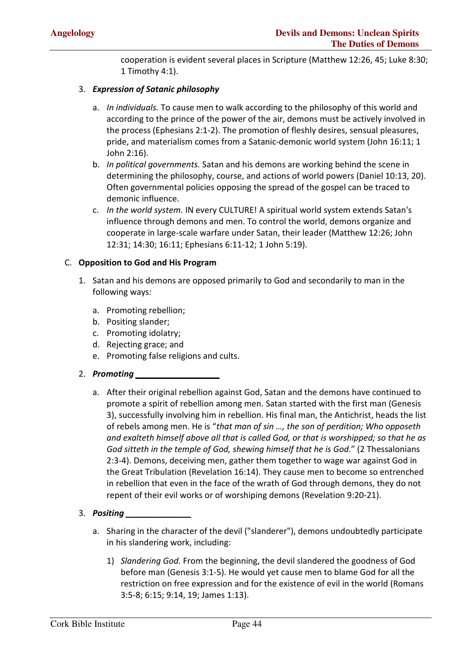cooperation is evident several places in Scripture (Matthew 12:26, 45; Luke 8:30; 1 Timothy 4:1).

#### 3. *Expression of Satanic philosophy*

- a. *In individuals.* To cause men to walk according to the philosophy of this world and according to the prince of the power of the air, demons must be actively involved in the process (Ephesians 2:1-2). The promotion of fleshly desires, sensual pleasures, pride, and materialism comes from a Satanic-demonic world system (John 16:11; 1 John 2:16).
- b. *In political governments.* Satan and his demons are working behind the scene in determining the philosophy, course, and actions of world powers (Daniel 10:13, 20). Often governmental policies opposing the spread of the gospel can be traced to demonic influence.
- c. *In the world system.* IN every CULTURE! A spiritual world system extends Satan's influence through demons and men. To control the world, demons organize and cooperate in large-scale warfare under Satan, their leader (Matthew 12:26; John 12:31; 14:30; 16:11; Ephesians 6:11-12; 1 John 5:19).

#### C. **Opposition to God and His Program**

- 1. Satan and his demons are opposed primarily to God and secondarily to man in the following ways:
	- a. Promoting rebellion;
	- b. Positing slander;
	- c. Promoting idolatry;
	- d. Rejecting grace; and
	- e. Promoting false religions and cults.
- 2. *Promoting \_\_\_\_\_\_\_\_\_\_\_\_\_\_\_\_\_\_*
	- a. After their original rebellion against God, Satan and the demons have continued to promote a spirit of rebellion among men. Satan started with the first man (Genesis 3), successfully involving him in rebellion. His final man, the Antichrist, heads the list of rebels among men. He is "*that man of sin …, the son of perdition; Who opposeth and exalteth himself above all that is called God, or that is worshipped; so that he as God sitteth in the temple of God, shewing himself that he is God*." (2 Thessalonians 2:3-4). Demons, deceiving men, gather them together to wage war against God in the Great Tribulation (Revelation 16:14). They cause men to become so entrenched in rebellion that even in the face of the wrath of God through demons, they do not repent of their evil works or of worshiping demons (Revelation 9:20-21).

#### 3. *Positing \_\_\_\_\_\_\_\_\_\_\_\_\_\_*

- a. Sharing in the character of the devil ("slanderer"), demons undoubtedly participate in his slandering work, including:
	- 1) *Slandering God.* From the beginning, the devil slandered the goodness of God before man (Genesis 3:1-5). He would yet cause men to blame God for all the restriction on free expression and for the existence of evil in the world (Romans 3:5-8; 6:15; 9:14, 19; James 1:13).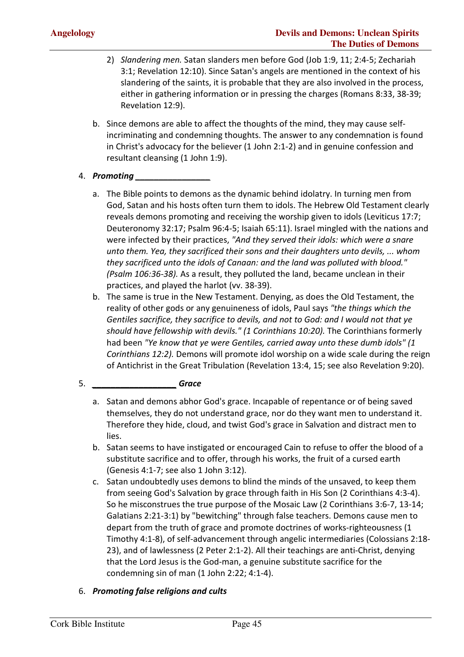- 2) *Slandering men.* Satan slanders men before God (Job 1:9, 11; 2:4-5; Zechariah 3:1; Revelation 12:10). Since Satan's angels are mentioned in the context of his slandering of the saints, it is probable that they are also involved in the process, either in gathering information or in pressing the charges (Romans 8:33, 38-39; Revelation 12:9).
- b. Since demons are able to affect the thoughts of the mind, they may cause selfincriminating and condemning thoughts. The answer to any condemnation is found in Christ's advocacy for the believer (1 John 2:1-2) and in genuine confession and resultant cleansing (1 John 1:9).

#### 4. *Promoting \_\_\_\_\_\_\_\_\_\_\_\_\_\_\_\_*

- a. The Bible points to demons as the dynamic behind idolatry. In turning men from God, Satan and his hosts often turn them to idols. The Hebrew Old Testament clearly reveals demons promoting and receiving the worship given to idols (Leviticus 17:7; Deuteronomy 32:17; Psalm 96:4-5; Isaiah 65:11). Israel mingled with the nations and were infected by their practices, *"And they served their idols: which were a snare unto them. Yea, they sacrificed their sons and their daughters unto devils, ... whom they sacrificed unto the idols of Canaan: and the land was polluted with blood." (Psalm 106:36-38).* As a result, they polluted the land, became unclean in their practices, and played the harlot (vv. 38-39).
- b. The same is true in the New Testament. Denying, as does the Old Testament, the reality of other gods or any genuineness of idols, Paul says *"the things which the Gentiles sacrifice, they sacrifice to devils, and not to God: and I would not that ye should have fellowship with devils." (1 Corinthians 10:20).* The Corinthians formerly had been *"Ye know that ye were Gentiles, carried away unto these dumb idols" (1 Corinthians 12:2).* Demons will promote idol worship on a wide scale during the reign of Antichrist in the Great Tribulation (Revelation 13:4, 15; see also Revelation 9:20).

#### 5. *\_\_\_\_\_\_\_\_\_\_\_\_\_\_\_\_\_\_ Grace*

- a. Satan and demons abhor God's grace. Incapable of repentance or of being saved themselves, they do not understand grace, nor do they want men to understand it. Therefore they hide, cloud, and twist God's grace in Salvation and distract men to lies.
- b. Satan seems to have instigated or encouraged Cain to refuse to offer the blood of a substitute sacrifice and to offer, through his works, the fruit of a cursed earth (Genesis 4:1-7; see also 1 John 3:12).
- c. Satan undoubtedly uses demons to blind the minds of the unsaved, to keep them from seeing God's Salvation by grace through faith in His Son (2 Corinthians 4:3-4). So he misconstrues the true purpose of the Mosaic Law (2 Corinthians 3:6-7, 13-14; Galatians 2:21-3:1) by "bewitching" through false teachers. Demons cause men to depart from the truth of grace and promote doctrines of works-righteousness (1 Timothy 4:1-8), of self-advancement through angelic intermediaries (Colossians 2:18- 23), and of lawlessness (2 Peter 2:1-2). All their teachings are anti-Christ, denying that the Lord Jesus is the God-man, a genuine substitute sacrifice for the condemning sin of man (1 John 2:22; 4:1-4).

#### 6. *Promoting false religions and cults*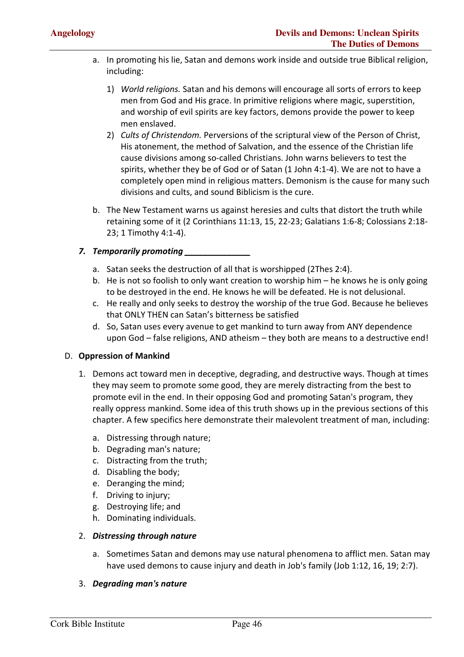- a. In promoting his lie, Satan and demons work inside and outside true Biblical religion, including:
	- 1) *World religions.* Satan and his demons will encourage all sorts of errors to keep men from God and His grace. In primitive religions where magic, superstition, and worship of evil spirits are key factors, demons provide the power to keep men enslaved.
	- 2) *Cults of Christendom.* Perversions of the scriptural view of the Person of Christ, His atonement, the method of Salvation, and the essence of the Christian life cause divisions among so-called Christians. John warns believers to test the spirits, whether they be of God or of Satan (1 John 4:1-4). We are not to have a completely open mind in religious matters. Demonism is the cause for many such divisions and cults, and sound Biblicism is the cure.
- b. The New Testament warns us against heresies and cults that distort the truth while retaining some of it (2 Corinthians 11:13, 15, 22-23; Galatians 1:6-8; Colossians 2:18- 23; 1 Timothy 4:1-4).

#### *7. Temporarily promoting \_\_\_\_\_\_\_\_\_\_\_\_\_\_*

- a. Satan seeks the destruction of all that is worshipped (2Thes 2:4).
- b. He is not so foolish to only want creation to worship him he knows he is only going to be destroyed in the end. He knows he will be defeated. He is not delusional.
- c. He really and only seeks to destroy the worship of the true God. Because he believes that ONLY THEN can Satan's bitterness be satisfied
- d. So, Satan uses every avenue to get mankind to turn away from ANY dependence upon God – false religions, AND atheism – they both are means to a destructive end!

#### D. **Oppression of Mankind**

- 1. Demons act toward men in deceptive, degrading, and destructive ways. Though at times they may seem to promote some good, they are merely distracting from the best to promote evil in the end. In their opposing God and promoting Satan's program, they really oppress mankind. Some idea of this truth shows up in the previous sections of this chapter. A few specifics here demonstrate their malevolent treatment of man, including:
	- a. Distressing through nature;
	- b. Degrading man's nature;
	- c. Distracting from the truth;
	- d. Disabling the body;
	- e. Deranging the mind;
	- f. Driving to injury;
	- g. Destroying life; and
	- h. Dominating individuals.

#### 2. *Distressing through nature*

a. Sometimes Satan and demons may use natural phenomena to afflict men. Satan may have used demons to cause injury and death in Job's family (Job 1:12, 16, 19; 2:7).

#### 3. *Degrading man's nature*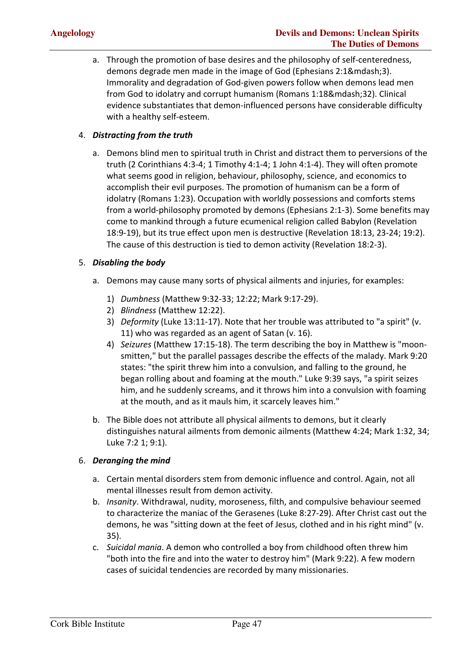a. Through the promotion of base desires and the philosophy of self-centeredness, demons degrade men made in the image of God (Ephesians 2:1—3). Immorality and degradation of God-given powers follow when demons lead men from God to idolatry and corrupt humanism (Romans 1:18—32). Clinical evidence substantiates that demon-influenced persons have considerable difficulty with a healthy self-esteem.

#### 4. *Distracting from the truth*

a. Demons blind men to spiritual truth in Christ and distract them to perversions of the truth (2 Corinthians 4:3-4; 1 Timothy 4:1-4; 1 John 4:1-4). They will often promote what seems good in religion, behaviour, philosophy, science, and economics to accomplish their evil purposes. The promotion of humanism can be a form of idolatry (Romans 1:23). Occupation with worldly possessions and comforts stems from a world-philosophy promoted by demons (Ephesians 2:1-3). Some benefits may come to mankind through a future ecumenical religion called Babylon (Revelation 18:9-19), but its true effect upon men is destructive (Revelation 18:13, 23-24; 19:2). The cause of this destruction is tied to demon activity (Revelation 18:2-3).

#### 5. *Disabling the body*

- a. Demons may cause many sorts of physical ailments and injuries, for examples:
	- 1) *Dumbness* (Matthew 9:32-33; 12:22; Mark 9:17-29).
	- 2) *Blindness* (Matthew 12:22).
	- 3) *Deformity* (Luke 13:11-17). Note that her trouble was attributed to "a spirit" (v. 11) who was regarded as an agent of Satan (v. 16).
	- 4) *Seizures* (Matthew 17:15-18). The term describing the boy in Matthew is "moonsmitten," but the parallel passages describe the effects of the malady. Mark 9:20 states: "the spirit threw him into a convulsion, and falling to the ground, he began rolling about and foaming at the mouth." Luke 9:39 says, "a spirit seizes him, and he suddenly screams, and it throws him into a convulsion with foaming at the mouth, and as it mauls him, it scarcely leaves him."
- b. The Bible does not attribute all physical ailments to demons, but it clearly distinguishes natural ailments from demonic ailments (Matthew 4:24; Mark 1:32, 34; Luke 7:2 1; 9:1).

#### 6. *Deranging the mind*

- a. Certain mental disorders stem from demonic influence and control. Again, not all mental illnesses result from demon activity.
- b. *Insanity*. Withdrawal, nudity, moroseness, filth, and compulsive behaviour seemed to characterize the maniac of the Gerasenes (Luke 8:27-29). After Christ cast out the demons, he was "sitting down at the feet of Jesus, clothed and in his right mind" (v. 35).
- c. *Suicidal mania*. A demon who controlled a boy from childhood often threw him "both into the fire and into the water to destroy him" (Mark 9:22). A few modern cases of suicidal tendencies are recorded by many missionaries.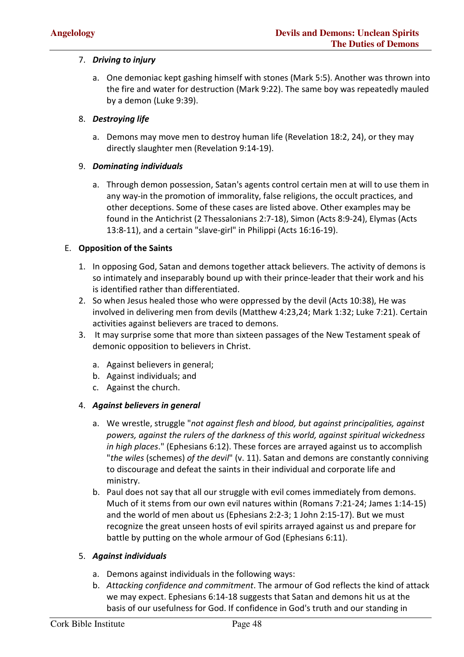#### 7. *Driving to injury*

a. One demoniac kept gashing himself with stones (Mark 5:5). Another was thrown into the fire and water for destruction (Mark 9:22). The same boy was repeatedly mauled by a demon (Luke 9:39).

#### 8. *Destroying life*

a. Demons may move men to destroy human life (Revelation 18:2, 24), or they may directly slaughter men (Revelation 9:14-19).

#### 9. *Dominating individuals*

a. Through demon possession, Satan's agents control certain men at will to use them in any way-in the promotion of immorality, false religions, the occult practices, and other deceptions. Some of these cases are listed above. Other examples may be found in the Antichrist (2 Thessalonians 2:7-18), Simon (Acts 8:9-24), Elymas (Acts 13:8-11), and a certain "slave-girl" in Philippi (Acts 16:16-19).

#### E. **Opposition of the Saints**

- 1. In opposing God, Satan and demons together attack believers. The activity of demons is so intimately and inseparably bound up with their prince-leader that their work and his is identified rather than differentiated.
- 2. So when Jesus healed those who were oppressed by the devil (Acts 10:38), He was involved in delivering men from devils (Matthew 4:23,24; Mark 1:32; Luke 7:21). Certain activities against believers are traced to demons.
- 3. It may surprise some that more than sixteen passages of the New Testament speak of demonic opposition to believers in Christ.
	- a. Against believers in general;
	- b. Against individuals; and
	- c. Against the church.

#### 4. *Against believers in general*

- a. We wrestle, struggle "*not against flesh and blood, but against principalities, against powers, against the rulers of the darkness of this world, against spiritual wickedness in high places*." (Ephesians 6:12). These forces are arrayed against us to accomplish "*the wiles* (schemes) *of the devil*" (v. 11). Satan and demons are constantly conniving to discourage and defeat the saints in their individual and corporate life and ministry.
- b. Paul does not say that all our struggle with evil comes immediately from demons. Much of it stems from our own evil natures within (Romans 7:21-24; James 1:14-15) and the world of men about us (Ephesians 2:2-3; 1 John 2:15-17). But we must recognize the great unseen hosts of evil spirits arrayed against us and prepare for battle by putting on the whole armour of God (Ephesians 6:11).

#### 5. *Against individuals*

- a. Demons against individuals in the following ways:
- b. *Attacking confidence and commitment*. The armour of God reflects the kind of attack we may expect. Ephesians 6:14-18 suggests that Satan and demons hit us at the basis of our usefulness for God. If confidence in God's truth and our standing in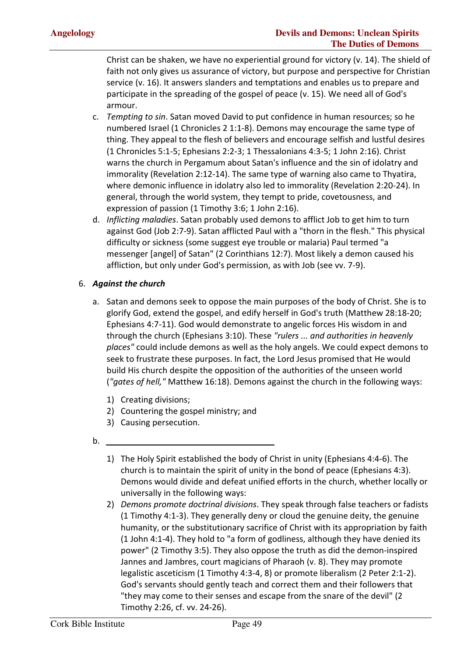Christ can be shaken, we have no experiential ground for victory (v. 14). The shield of faith not only gives us assurance of victory, but purpose and perspective for Christian service (v. 16). It answers slanders and temptations and enables us to prepare and participate in the spreading of the gospel of peace (v. 15). We need all of God's armour.

- c. *Tempting to sin*. Satan moved David to put confidence in human resources; so he numbered Israel (1 Chronicles 2 1:1-8). Demons may encourage the same type of thing. They appeal to the flesh of believers and encourage selfish and lustful desires (1 Chronicles 5:1-5; Ephesians 2:2-3; 1 Thessalonians 4:3-5; 1 John 2:16). Christ warns the church in Pergamum about Satan's influence and the sin of idolatry and immorality (Revelation 2:12-14). The same type of warning also came to Thyatira, where demonic influence in idolatry also led to immorality (Revelation 2:20-24). In general, through the world system, they tempt to pride, covetousness, and expression of passion (1 Timothy 3:6; 1 John 2:16).
- d. *Inflicting maladies*. Satan probably used demons to afflict Job to get him to turn against God (Job 2:7-9). Satan afflicted Paul with a "thorn in the flesh." This physical difficulty or sickness (some suggest eye trouble or malaria) Paul termed "a messenger [angel] of Satan" (2 Corinthians 12:7). Most likely a demon caused his affliction, but only under God's permission, as with Job (see vv. 7-9).

#### 6. *Against the church*

- a. Satan and demons seek to oppose the main purposes of the body of Christ. She is to glorify God, extend the gospel, and edify herself in God's truth (Matthew 28:18-20; Ephesians 4:7-11). God would demonstrate to angelic forces His wisdom in and through the church (Ephesians 3:10). These *"rulers ... and authorities in heavenly places"* could include demons as well as the holy angels. We could expect demons to seek to frustrate these purposes. In fact, the Lord Jesus promised that He would build His church despite the opposition of the authorities of the unseen world (*"gates of hell,"* Matthew 16:18). Demons against the church in the following ways:
	- 1) Creating divisions;
	- 2) Countering the gospel ministry; and
	- 3) Causing persecution.
- b. *\_\_\_\_\_\_\_\_\_\_\_\_\_\_\_\_\_\_\_\_\_\_\_\_\_\_\_\_\_\_\_\_\_\_\_\_*
	- 1) The Holy Spirit established the body of Christ in unity (Ephesians 4:4-6). The church is to maintain the spirit of unity in the bond of peace (Ephesians 4:3). Demons would divide and defeat unified efforts in the church, whether locally or universally in the following ways:
	- 2) *Demons promote doctrinal divisions*. They speak through false teachers or fadists (1 Timothy 4:1-3). They generally deny or cloud the genuine deity, the genuine humanity, or the substitutionary sacrifice of Christ with its appropriation by faith (1 John 4:1-4). They hold to "a form of godliness, although they have denied its power" (2 Timothy 3:5). They also oppose the truth as did the demon-inspired Jannes and Jambres, court magicians of Pharaoh (v. 8). They may promote legalistic asceticism (1 Timothy 4:3-4, 8) or promote liberalism (2 Peter 2:1-2). God's servants should gently teach and correct them and their followers that "they may come to their senses and escape from the snare of the devil" (2 Timothy 2:26, cf. vv. 24-26).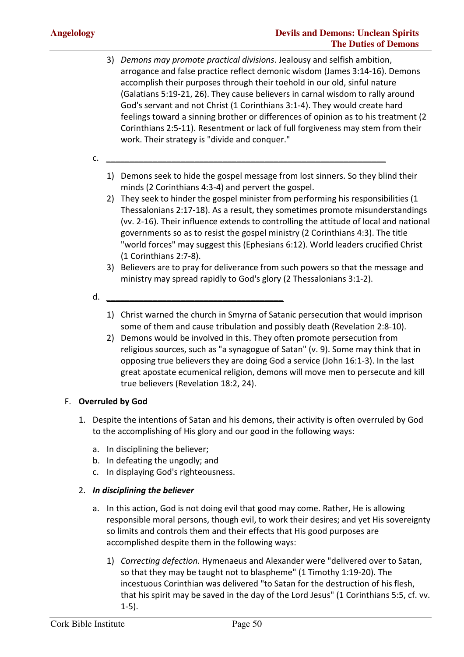- 3) *Demons may promote practical divisions*. Jealousy and selfish ambition, arrogance and false practice reflect demonic wisdom (James 3:14-16). Demons accomplish their purposes through their toehold in our old, sinful nature (Galatians 5:19-21, 26). They cause believers in carnal wisdom to rally around God's servant and not Christ (1 Corinthians 3:1-4). They would create hard feelings toward a sinning brother or differences of opinion as to his treatment (2 Corinthians 2:5-11). Resentment or lack of full forgiveness may stem from their work. Their strategy is "divide and conquer."
- c. *\_\_\_\_\_\_\_\_\_\_\_\_\_\_\_\_\_\_\_\_\_\_\_\_\_\_\_\_\_\_\_\_\_\_\_\_\_\_\_\_\_\_\_\_\_\_\_\_\_\_\_\_\_\_\_\_\_\_\_\_*
	- 1) Demons seek to hide the gospel message from lost sinners. So they blind their minds (2 Corinthians 4:3-4) and pervert the gospel.
	- 2) They seek to hinder the gospel minister from performing his responsibilities (1 Thessalonians 2:17-18). As a result, they sometimes promote misunderstandings (vv. 2-16). Their influence extends to controlling the attitude of local and national governments so as to resist the gospel ministry (2 Corinthians 4:3). The title "world forces" may suggest this (Ephesians 6:12). World leaders crucified Christ (1 Corinthians 2:7-8).
	- 3) Believers are to pray for deliverance from such powers so that the message and ministry may spread rapidly to God's glory (2 Thessalonians 3:1-2).
- d. *\_\_\_\_\_\_\_\_\_\_\_\_\_\_\_\_\_\_\_\_\_\_\_\_\_\_\_\_\_\_\_\_\_\_\_\_\_\_*
	- 1) Christ warned the church in Smyrna of Satanic persecution that would imprison some of them and cause tribulation and possibly death (Revelation 2:8-10).
	- 2) Demons would be involved in this. They often promote persecution from religious sources, such as "a synagogue of Satan" (v. 9). Some may think that in opposing true believers they are doing God a service (John 16:1-3). In the last great apostate ecumenical religion, demons will move men to persecute and kill true believers (Revelation 18:2, 24).

#### F. **Overruled by God**

- 1. Despite the intentions of Satan and his demons, their activity is often overruled by God to the accomplishing of His glory and our good in the following ways:
	- a. In disciplining the believer;
	- b. In defeating the ungodly; and
	- c. In displaying God's righteousness.

#### 2. *In disciplining the believer*

- a. In this action, God is not doing evil that good may come. Rather, He is allowing responsible moral persons, though evil, to work their desires; and yet His sovereignty so limits and controls them and their effects that His good purposes are accomplished despite them in the following ways:
	- 1) *Correcting defection*. Hymenaeus and Alexander were "delivered over to Satan, so that they may be taught not to blaspheme" (1 Timothy 1:19-20). The incestuous Corinthian was delivered "to Satan for the destruction of his flesh, that his spirit may be saved in the day of the Lord Jesus" (1 Corinthians 5:5, cf. vv. 1-5).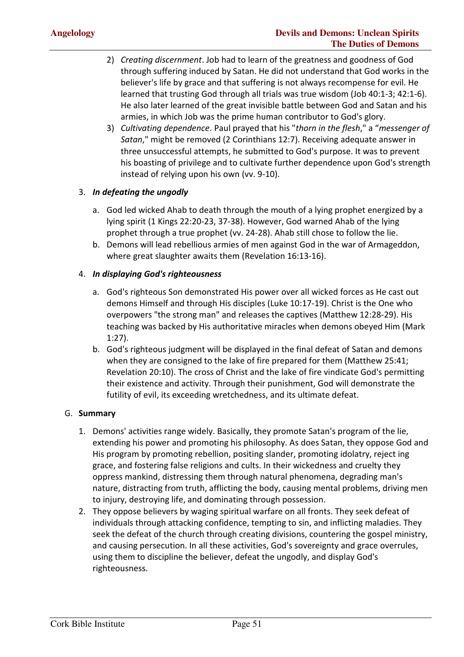- 2) *Creating discernment*. Job had to learn of the greatness and goodness of God through suffering induced by Satan. He did not understand that God works in the believer's life by grace and that suffering is not always recompense for evil. He learned that trusting God through all trials was true wisdom (Job 40:1-3; 42:1-6). He also later learned of the great invisible battle between God and Satan and his armies, in which Job was the prime human contributor to God's glory.
- 3) *Cultivating dependence*. Paul prayed that his "*thorn in the flesh*," a "*messenger of Satan*," might be removed (2 Corinthians 12:7). Receiving adequate answer in three unsuccessful attempts, he submitted to God's purpose. It was to prevent his boasting of privilege and to cultivate further dependence upon God's strength instead of relying upon his own (vv. 9-10).

#### 3. *In defeating the ungodly*

- a. God led wicked Ahab to death through the mouth of a lying prophet energized by a lying spirit (1 Kings 22:20-23, 37-38). However, God warned Ahab of the lying prophet through a true prophet (vv. 24-28). Ahab still chose to follow the lie.
- b. Demons will lead rebellious armies of men against God in the war of Armageddon, where great slaughter awaits them (Revelation 16:13-16).

#### 4. *In displaying God's righteousness*

- a. God's righteous Son demonstrated His power over all wicked forces as He cast out demons Himself and through His disciples (Luke 10:17-19). Christ is the One who overpowers "the strong man" and releases the captives (Matthew 12:28-29). His teaching was backed by His authoritative miracles when demons obeyed Him (Mark 1:27).
- b. God's righteous judgment will be displayed in the final defeat of Satan and demons when they are consigned to the lake of fire prepared for them (Matthew 25:41; Revelation 20:10). The cross of Christ and the lake of fire vindicate God's permitting their existence and activity. Through their punishment, God will demonstrate the futility of evil, its exceeding wretchedness, and its ultimate defeat.

#### G. **Summary**

- 1. Demons' activities range widely. Basically, they promote Satan's program of the lie, extending his power and promoting his philosophy. As does Satan, they oppose God and His program by promoting rebellion, positing slander, promoting idolatry, reject ing grace, and fostering false religions and cults. In their wickedness and cruelty they oppress mankind, distressing them through natural phenomena, degrading man's nature, distracting from truth, afflicting the body, causing mental problems, driving men to injury, destroying life, and dominating through possession.
- 2. They oppose believers by waging spiritual warfare on all fronts. They seek defeat of individuals through attacking confidence, tempting to sin, and inflicting maladies. They seek the defeat of the church through creating divisions, countering the gospel ministry, and causing persecution. In all these activities, God's sovereignty and grace overrules, using them to discipline the believer, defeat the ungodly, and display God's righteousness.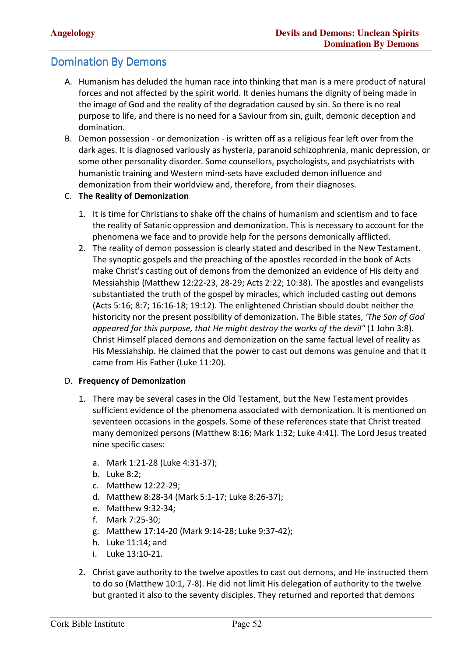#### **Domination By Demons**

- A. Humanism has deluded the human race into thinking that man is a mere product of natural forces and not affected by the spirit world. It denies humans the dignity of being made in the image of God and the reality of the degradation caused by sin. So there is no real purpose to life, and there is no need for a Saviour from sin, guilt, demonic deception and domination.
- B. Demon possession or demonization is written off as a religious fear left over from the dark ages. It is diagnosed variously as hysteria, paranoid schizophrenia, manic depression, or some other personality disorder. Some counsellors, psychologists, and psychiatrists with humanistic training and Western mind-sets have excluded demon influence and demonization from their worldview and, therefore, from their diagnoses.
- C. **The Reality of Demonization**
	- 1. It is time for Christians to shake off the chains of humanism and scientism and to face the reality of Satanic oppression and demonization. This is necessary to account for the phenomena we face and to provide help for the persons demonically afflicted.
	- 2. The reality of demon possession is clearly stated and described in the New Testament. The synoptic gospels and the preaching of the apostles recorded in the book of Acts make Christ's casting out of demons from the demonized an evidence of His deity and Messiahship (Matthew 12:22-23, 28-29; Acts 2:22; 10:38). The apostles and evangelists substantiated the truth of the gospel by miracles, which included casting out demons (Acts 5:16; 8:7; 16:16-18; 19:12). The enlightened Christian should doubt neither the historicity nor the present possibility of demonization. The Bible states, *'The Son of God appeared for this purpose, that He might destroy the works of the devil"* (1 John 3:8). Christ Himself placed demons and demonization on the same factual level of reality as His Messiahship. He claimed that the power to cast out demons was genuine and that it came from His Father (Luke 11:20).

#### D. **Frequency of Demonization**

- 1. There may be several cases in the Old Testament, but the New Testament provides sufficient evidence of the phenomena associated with demonization. It is mentioned on seventeen occasions in the gospels. Some of these references state that Christ treated many demonized persons (Matthew 8:16; Mark 1:32; Luke 4:41). The Lord Jesus treated nine specific cases:
	- a. Mark 1:21-28 (Luke 4:31-37);
	- b. Luke 8:2;
	- c. Matthew 12:22-29;
	- d. Matthew 8:28-34 (Mark 5:1-17; Luke 8:26-37);
	- e. Matthew 9:32-34;
	- f. Mark 7:25-30;
	- g. Matthew 17:14-20 (Mark 9:14-28; Luke 9:37-42);
	- h. Luke 11:14; and
	- i. Luke 13:10-21.
- 2. Christ gave authority to the twelve apostles to cast out demons, and He instructed them to do so (Matthew 10:1, 7-8). He did not limit His delegation of authority to the twelve but granted it also to the seventy disciples. They returned and reported that demons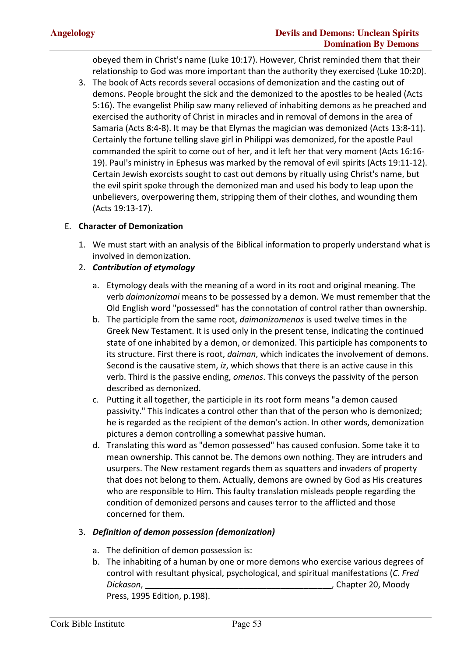obeyed them in Christ's name (Luke 10:17). However, Christ reminded them that their relationship to God was more important than the authority they exercised (Luke 10:20).

3. The book of Acts records several occasions of demonization and the casting out of demons. People brought the sick and the demonized to the apostles to be healed (Acts 5:16). The evangelist Philip saw many relieved of inhabiting demons as he preached and exercised the authority of Christ in miracles and in removal of demons in the area of Samaria (Acts 8:4-8). It may be that Elymas the magician was demonized (Acts 13:8-11). Certainly the fortune telling slave girl in Philippi was demonized, for the apostle Paul commanded the spirit to come out of her, and it left her that very moment (Acts 16:16- 19). Paul's ministry in Ephesus was marked by the removal of evil spirits (Acts 19:11-12). Certain Jewish exorcists sought to cast out demons by ritually using Christ's name, but the evil spirit spoke through the demonized man and used his body to leap upon the unbelievers, overpowering them, stripping them of their clothes, and wounding them (Acts 19:13-17).

#### E. **Character of Demonization**

1. We must start with an analysis of the Biblical information to properly understand what is involved in demonization.

#### 2. *Contribution of etymology*

- a. Etymology deals with the meaning of a word in its root and original meaning. The verb *daimonizomai* means to be possessed by a demon. We must remember that the Old English word "possessed" has the connotation of control rather than ownership.
- b. The participle from the same root, *daimonizomenos* is used twelve times in the Greek New Testament. It is used only in the present tense, indicating the continued state of one inhabited by a demon, or demonized. This participle has components to its structure. First there is root, *daiman*, which indicates the involvement of demons. Second is the causative stem, *iz*, which shows that there is an active cause in this verb. Third is the passive ending, *omenos*. This conveys the passivity of the person described as demonized.
- c. Putting it all together, the participle in its root form means "a demon caused passivity." This indicates a control other than that of the person who is demonized; he is regarded as the recipient of the demon's action. In other words, demonization pictures a demon controlling a somewhat passive human.
- d. Translating this word as "demon possessed" has caused confusion. Some take it to mean ownership. This cannot be. The demons own nothing. They are intruders and usurpers. The New restament regards them as squatters and invaders of property that does not belong to them. Actually, demons are owned by God as His creatures who are responsible to Him. This faulty translation misleads people regarding the condition of demonized persons and causes terror to the afflicted and those concerned for them.

#### 3. *Definition of demon possession (demonization)*

- a. The definition of demon possession is:
- b. The inhabiting of a human by one or more demons who exercise various degrees of control with resultant physical, psychological, and spiritual manifestations (*C. Fred Dickason*, **\_\_\_\_\_\_\_\_\_\_\_\_\_\_\_\_\_\_\_\_\_\_\_\_\_\_\_\_\_\_\_\_\_\_\_\_\_\_\_\_**, Chapter 20, Moody Press, 1995 Edition, p.198).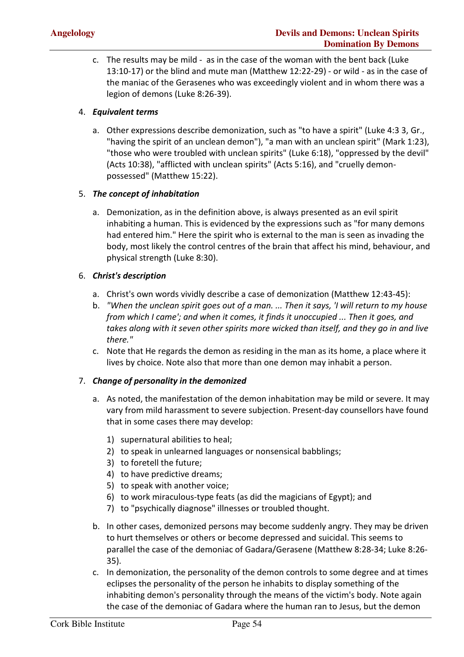c. The results may be mild - as in the case of the woman with the bent back (Luke 13:10-17) or the blind and mute man (Matthew 12:22-29) - or wild - as in the case of the maniac of the Gerasenes who was exceedingly violent and in whom there was a legion of demons (Luke 8:26-39).

#### 4. *Equivalent terms*

a. Other expressions describe demonization, such as "to have a spirit" (Luke 4:3 3, Gr., "having the spirit of an unclean demon"), "a man with an unclean spirit" (Mark 1:23), "those who were troubled with unclean spirits" (Luke 6:18), "oppressed by the devil" (Acts 10:38), "afflicted with unclean spirits" (Acts 5:16), and "cruelly demonpossessed" (Matthew 15:22).

#### 5. *The concept of inhabitation*

a. Demonization, as in the definition above, is always presented as an evil spirit inhabiting a human. This is evidenced by the expressions such as "for many demons had entered him." Here the spirit who is external to the man is seen as invading the body, most likely the control centres of the brain that affect his mind, behaviour, and physical strength (Luke 8:30).

#### 6. *Christ's description*

- a. Christ's own words vividly describe a case of demonization (Matthew 12:43-45):
- b. *"When the unclean spirit goes out of a man. ... Then it says, 'I will return to my house from which I came'; and when it comes, it finds it unoccupied ... Then it goes, and takes along with it seven other spirits more wicked than itself, and they go in and live there."*
- c. Note that He regards the demon as residing in the man as its home, a place where it lives by choice. Note also that more than one demon may inhabit a person.

#### 7. *Change of personality in the demonized*

- a. As noted, the manifestation of the demon inhabitation may be mild or severe. It may vary from mild harassment to severe subjection. Present-day counsellors have found that in some cases there may develop:
	- 1) supernatural abilities to heal;
	- 2) to speak in unlearned languages or nonsensical babblings;
	- 3) to foretell the future;
	- 4) to have predictive dreams;
	- 5) to speak with another voice;
	- 6) to work miraculous-type feats (as did the magicians of Egypt); and
	- 7) to "psychically diagnose" illnesses or troubled thought.
- b. In other cases, demonized persons may become suddenly angry. They may be driven to hurt themselves or others or become depressed and suicidal. This seems to parallel the case of the demoniac of Gadara/Gerasene (Matthew 8:28-34; Luke 8:26- 35).
- c. In demonization, the personality of the demon controls to some degree and at times eclipses the personality of the person he inhabits to display something of the inhabiting demon's personality through the means of the victim's body. Note again the case of the demoniac of Gadara where the human ran to Jesus, but the demon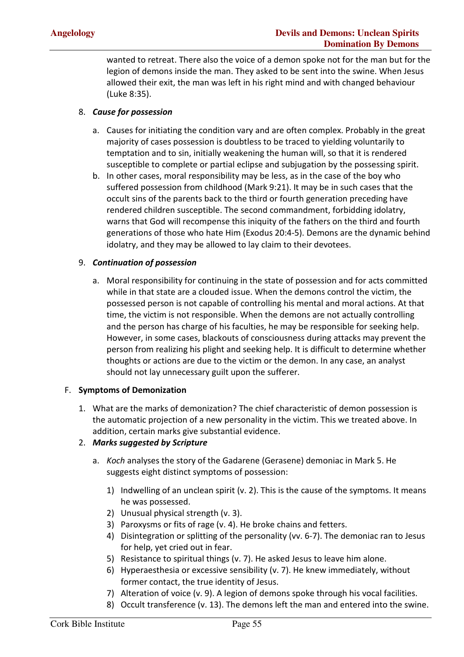wanted to retreat. There also the voice of a demon spoke not for the man but for the legion of demons inside the man. They asked to be sent into the swine. When Jesus allowed their exit, the man was left in his right mind and with changed behaviour (Luke 8:35).

#### 8. *Cause for possession*

- a. Causes for initiating the condition vary and are often complex. Probably in the great majority of cases possession is doubtless to be traced to yielding voluntarily to temptation and to sin, initially weakening the human will, so that it is rendered susceptible to complete or partial eclipse and subjugation by the possessing spirit.
- b. In other cases, moral responsibility may be less, as in the case of the boy who suffered possession from childhood (Mark 9:21). It may be in such cases that the occult sins of the parents back to the third or fourth generation preceding have rendered children susceptible. The second commandment, forbidding idolatry, warns that God will recompense this iniquity of the fathers on the third and fourth generations of those who hate Him (Exodus 20:4-5). Demons are the dynamic behind idolatry, and they may be allowed to lay claim to their devotees.

#### 9. *Continuation of possession*

a. Moral responsibility for continuing in the state of possession and for acts committed while in that state are a clouded issue. When the demons control the victim, the possessed person is not capable of controlling his mental and moral actions. At that time, the victim is not responsible. When the demons are not actually controlling and the person has charge of his faculties, he may be responsible for seeking help. However, in some cases, blackouts of consciousness during attacks may prevent the person from realizing his plight and seeking help. It is difficult to determine whether thoughts or actions are due to the victim or the demon. In any case, an analyst should not lay unnecessary guilt upon the sufferer.

#### F. **Symptoms of Demonization**

1. What are the marks of demonization? The chief characteristic of demon possession is the automatic projection of a new personality in the victim. This we treated above. In addition, certain marks give substantial evidence.

#### 2. *Marks suggested by Scripture*

- a. *Koch* analyses the story of the Gadarene (Gerasene) demoniac in Mark 5. He suggests eight distinct symptoms of possession:
	- 1) Indwelling of an unclean spirit (v. 2). This is the cause of the symptoms. It means he was possessed.
	- 2) Unusual physical strength (v. 3).
	- 3) Paroxysms or fits of rage (v. 4). He broke chains and fetters.
	- 4) Disintegration or splitting of the personality (vv. 6-7). The demoniac ran to Jesus for help, yet cried out in fear.
	- 5) Resistance to spiritual things (v. 7). He asked Jesus to leave him alone.
	- 6) Hyperaesthesia or excessive sensibility (v. 7). He knew immediately, without former contact, the true identity of Jesus.
	- 7) Alteration of voice (v. 9). A legion of demons spoke through his vocal facilities.
	- 8) Occult transference (v. 13). The demons left the man and entered into the swine.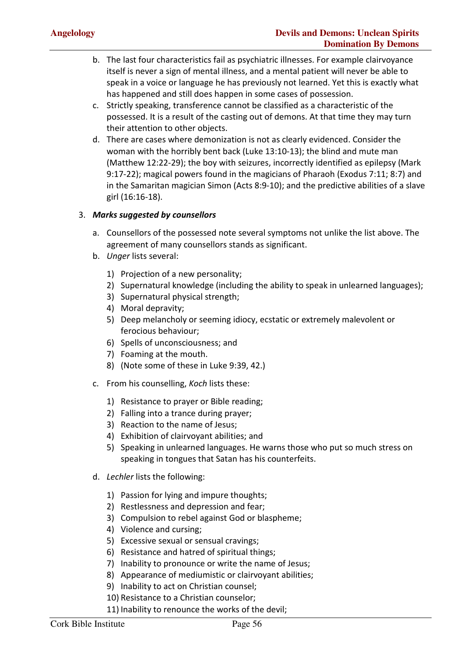- b. The last four characteristics fail as psychiatric illnesses. For example clairvoyance itself is never a sign of mental illness, and a mental patient will never be able to speak in a voice or language he has previously not learned. Yet this is exactly what has happened and still does happen in some cases of possession.
- c. Strictly speaking, transference cannot be classified as a characteristic of the possessed. It is a result of the casting out of demons. At that time they may turn their attention to other objects.
- d. There are cases where demonization is not as clearly evidenced. Consider the woman with the horribly bent back (Luke 13:10-13); the blind and mute man (Matthew 12:22-29); the boy with seizures, incorrectly identified as epilepsy (Mark 9:17-22); magical powers found in the magicians of Pharaoh (Exodus 7:11; 8:7) and in the Samaritan magician Simon (Acts 8:9-10); and the predictive abilities of a slave girl (16:16-18).

#### 3. *Marks suggested by counsellors*

- a. Counsellors of the possessed note several symptoms not unlike the list above. The agreement of many counsellors stands as significant.
- b. *Unger* lists several:
	- 1) Projection of a new personality;
	- 2) Supernatural knowledge (including the ability to speak in unlearned languages);
	- 3) Supernatural physical strength;
	- 4) Moral depravity;
	- 5) Deep melancholy or seeming idiocy, ecstatic or extremely malevolent or ferocious behaviour;
	- 6) Spells of unconsciousness; and
	- 7) Foaming at the mouth.
	- 8) (Note some of these in Luke 9:39, 42.)
- c. From his counselling, *Koch* lists these:
	- 1) Resistance to prayer or Bible reading;
	- 2) Falling into a trance during prayer;
	- 3) Reaction to the name of Jesus;
	- 4) Exhibition of clairvoyant abilities; and
	- 5) Speaking in unlearned languages. He warns those who put so much stress on speaking in tongues that Satan has his counterfeits.
- d. *Lechler* lists the following:
	- 1) Passion for lying and impure thoughts;
	- 2) Restlessness and depression and fear;
	- 3) Compulsion to rebel against God or blaspheme;
	- 4) Violence and cursing;
	- 5) Excessive sexual or sensual cravings;
	- 6) Resistance and hatred of spiritual things;
	- 7) Inability to pronounce or write the name of Jesus;
	- 8) Appearance of mediumistic or clairvoyant abilities;
	- 9) Inability to act on Christian counsel;
	- 10) Resistance to a Christian counselor;
	- 11) Inability to renounce the works of the devil;